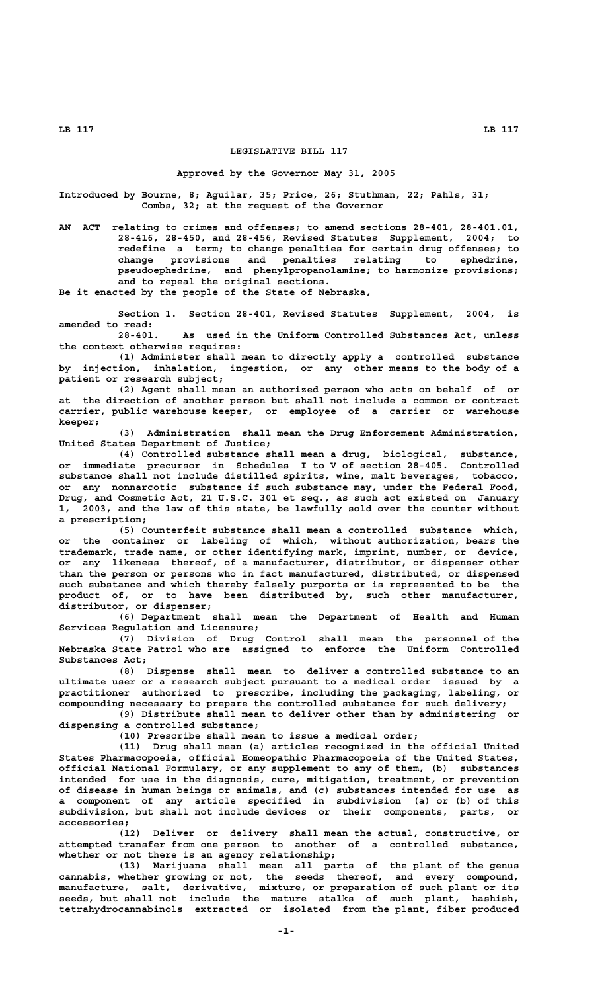## **LEGISLATIVE BILL 117**

#### **Approved by the Governor May 31, 2005**

**Introduced by Bourne, 8; Aguilar, 35; Price, 26; Stuthman, 22; Pahls, 31; Combs, 32; at the request of the Governor**

**AN ACT relating to crimes and offenses; to amend sections 28-401, 28-401.01, 28-416, 28-450, and 28-456, Revised Statutes Supplement, 2004; to redefine a term; to change penalties for certain drug offenses; to change provisions and penalties relating to ephedrine, pseudoephedrine, and phenylpropanolamine; to harmonize provisions; and to repeal the original sections.**

**Be it enacted by the people of the State of Nebraska,**

**Section 1. Section 28-401, Revised Statutes Supplement, 2004, is amended to read:**

**28-401. As used in the Uniform Controlled Substances Act, unless the context otherwise requires:**

**(1) Administer shall mean to directly apply a controlled substance by injection, inhalation, ingestion, or any other means to the body of a patient or research subject;**

**(2) Agent shall mean an authorized person who acts on behalf of or at the direction of another person but shall not include a common or contract carrier, public warehouse keeper, or employee of a carrier or warehouse keeper;**

**(3) Administration shall mean the Drug Enforcement Administration, United States Department of Justice;**

**(4) Controlled substance shall mean a drug, biological, substance, or immediate precursor in Schedules I to V of section 28-405. Controlled substance shall not include distilled spirits, wine, malt beverages, tobacco, or any nonnarcotic substance if such substance may, under the Federal Food, Drug, and Cosmetic Act, 21 U.S.C. 301 et seq., as such act existed on January 1, 2003, and the law of this state, be lawfully sold over the counter without a prescription;**

**(5) Counterfeit substance shall mean a controlled substance which, or the container or labeling of which, without authorization, bears the trademark, trade name, or other identifying mark, imprint, number, or device, or any likeness thereof, of a manufacturer, distributor, or dispenser other than the person or persons who in fact manufactured, distributed, or dispensed such substance and which thereby falsely purports or is represented to be the product of, or to have been distributed by, such other manufacturer, distributor, or dispenser;**

**(6) Department shall mean the Department of Health and Human Services Regulation and Licensure;**

**(7) Division of Drug Control shall mean the personnel of the Nebraska State Patrol who are assigned to enforce the Uniform Controlled Substances Act;**

**(8) Dispense shall mean to deliver a controlled substance to an ultimate user or a research subject pursuant to a medical order issued by a practitioner authorized to prescribe, including the packaging, labeling, or compounding necessary to prepare the controlled substance for such delivery;**

**(9) Distribute shall mean to deliver other than by administering or dispensing a controlled substance;**

**(10) Prescribe shall mean to issue a medical order;**

**(11) Drug shall mean (a) articles recognized in the official United States Pharmacopoeia, official Homeopathic Pharmacopoeia of the United States, official National Formulary, or any supplement to any of them, (b) substances intended for use in the diagnosis, cure, mitigation, treatment, or prevention of disease in human beings or animals, and (c) substances intended for use as a component of any article specified in subdivision (a) or (b) of this subdivision, but shall not include devices or their components, parts, or accessories;**

**(12) Deliver or delivery shall mean the actual, constructive, or attempted transfer from one person to another of a controlled substance, whether or not there is an agency relationship;**

**(13) Marijuana shall mean all parts of the plant of the genus cannabis, whether growing or not, the seeds thereof, and every compound, manufacture, salt, derivative, mixture, or preparation of such plant or its seeds, but shall not include the mature stalks of such plant, hashish, tetrahydrocannabinols extracted or isolated from the plant, fiber produced**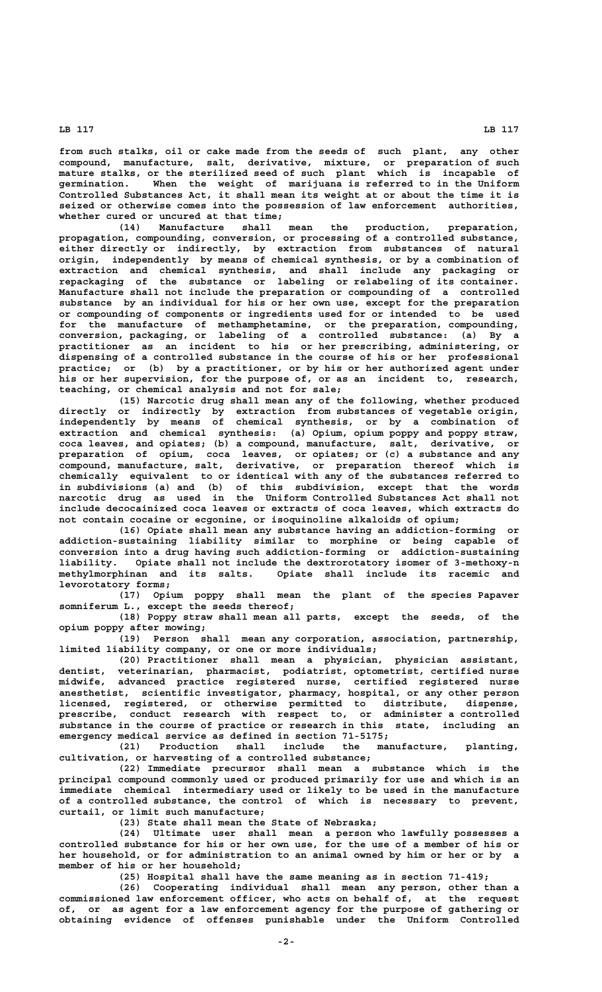**from such stalks, oil or cake made from the seeds of such plant, any other compound, manufacture, salt, derivative, mixture, or preparation of such mature stalks, or the sterilized seed of such plant which is incapable of germination. When the weight of marijuana is referred to in the Uniform Controlled Substances Act, it shall mean its weight at or about the time it is seized or otherwise comes into the possession of law enforcement authorities, whether cured or uncured at that time;**

**(14) Manufacture shall mean the production, preparation, propagation, compounding, conversion, or processing of a controlled substance, either directly or indirectly, by extraction from substances of natural origin, independently by means of chemical synthesis, or by a combination of extraction and chemical synthesis, and shall include any packaging or repackaging of the substance or labeling or relabeling of its container. Manufacture shall not include the preparation or compounding of a controlled substance by an individual for his or her own use, except for the preparation or compounding of components or ingredients used for or intended to be used for the manufacture of methamphetamine, or the preparation, compounding, conversion, packaging, or labeling of a controlled substance: (a) By a practitioner as an incident to his or her prescribing, administering, or dispensing of a controlled substance in the course of his or her professional practice; or (b) by a practitioner, or by his or her authorized agent under his or her supervision, for the purpose of, or as an incident to, research, teaching, or chemical analysis and not for sale;**

**(15) Narcotic drug shall mean any of the following, whether produced directly or indirectly by extraction from substances of vegetable origin, independently by means of chemical synthesis, or by a combination of extraction and chemical synthesis: (a) Opium, opium poppy and poppy straw, coca leaves, and opiates; (b) a compound, manufacture, salt, derivative, or preparation of opium, coca leaves, or opiates; or (c) a substance and any compound, manufacture, salt, derivative, or preparation thereof which is chemically equivalent to or identical with any of the substances referred to in subdivisions (a) and (b) of this subdivision, except that the words narcotic drug as used in the Uniform Controlled Substances Act shall not include decocainized coca leaves or extracts of coca leaves, which extracts do not contain cocaine or ecgonine, or isoquinoline alkaloids of opium;**

**(16) Opiate shall mean any substance having an addiction-forming or addiction-sustaining liability similar to morphine or being capable of conversion into a drug having such addiction-forming or addiction-sustaining liability. Opiate shall not include the dextrorotatory isomer of 3-methoxy-n methylmorphinan and its salts. Opiate shall include its racemic and levorotatory forms;**

**(17) Opium poppy shall mean the plant of the species Papaver somniferum L., except the seeds thereof;**

**(18) Poppy straw shall mean all parts, except the seeds, of the opium poppy after mowing;**

**(19) Person shall mean any corporation, association, partnership, limited liability company, or one or more individuals;**

**(20) Practitioner shall mean a physician, physician assistant, dentist, veterinarian, pharmacist, podiatrist, optometrist, certified nurse midwife, advanced practice registered nurse, certified registered nurse anesthetist, scientific investigator, pharmacy, hospital, or any other person licensed, registered, or otherwise permitted to distribute, dispense, prescribe, conduct research with respect to, or administer a controlled substance in the course of practice or research in this state, including an emergency medical service as defined in section 71-5175;**

**(21) Production shall include the manufacture, planting, cultivation, or harvesting of a controlled substance;**

**(22) Immediate precursor shall mean a substance which is the principal compound commonly used or produced primarily for use and which is an immediate chemical intermediary used or likely to be used in the manufacture of a controlled substance, the control of which is necessary to prevent, curtail, or limit such manufacture;**

**(23) State shall mean the State of Nebraska;**

**(24) Ultimate user shall mean a person who lawfully possesses a controlled substance for his or her own use, for the use of a member of his or her household, or for administration to an animal owned by him or her or by a member of his or her household;**

**(25) Hospital shall have the same meaning as in section 71-419;**

**(26) Cooperating individual shall mean any person, other than a commissioned law enforcement officer, who acts on behalf of, at the request of, or as agent for a law enforcement agency for the purpose of gathering or obtaining evidence of offenses punishable under the Uniform Controlled**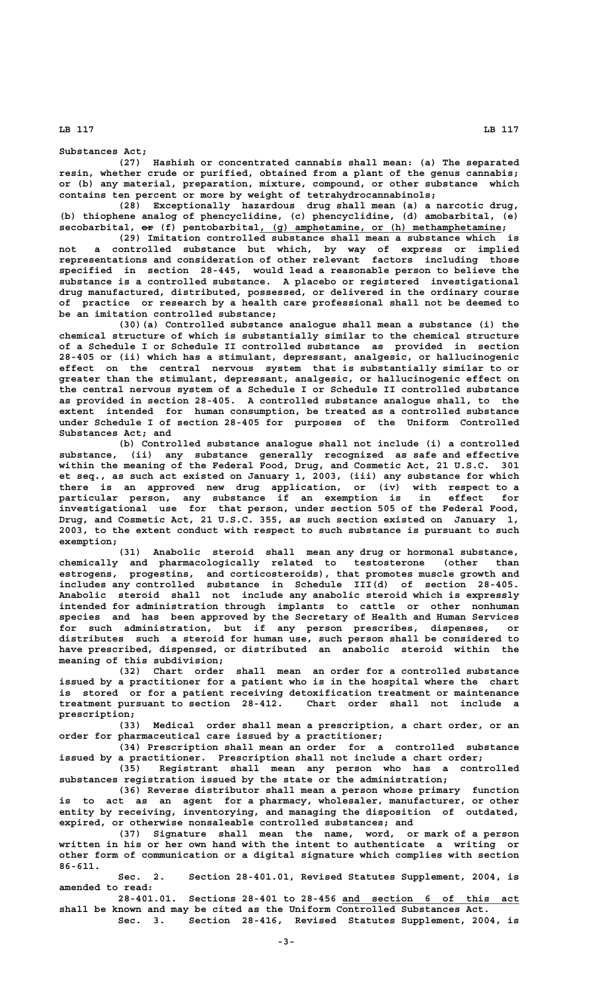**(27) Hashish or concentrated cannabis shall mean: (a) The separated resin, whether crude or purified, obtained from a plant of the genus cannabis; or (b) any material, preparation, mixture, compound, or other substance which contains ten percent or more by weight of tetrahydrocannabinols;**

**(28) Exceptionally hazardous drug shall mean (a) a narcotic drug, (b) thiophene analog of phencyclidine, (c) phencyclidine, (d) amobarbital, (e) —— \_\_\_\_\_\_\_\_\_\_\_\_\_\_\_\_\_\_\_\_\_\_\_\_\_\_\_\_\_\_\_\_\_\_\_\_\_\_\_\_\_ secobarbital, or (f) pentobarbital, (g) amphetamine, or (h) methamphetamine;**

**(29) Imitation controlled substance shall mean a substance which is not a controlled substance but which, by way of express or implied representations and consideration of other relevant factors including those specified in section 28-445, would lead a reasonable person to believe the substance is a controlled substance. A placebo or registered investigational drug manufactured, distributed, possessed, or delivered in the ordinary course of practice or research by a health care professional shall not be deemed to be an imitation controlled substance;**

**(30)(a) Controlled substance analogue shall mean a substance (i) the chemical structure of which is substantially similar to the chemical structure of a Schedule I or Schedule II controlled substance as provided in section 28-405 or (ii) which has a stimulant, depressant, analgesic, or hallucinogenic effect on the central nervous system that is substantially similar to or greater than the stimulant, depressant, analgesic, or hallucinogenic effect on the central nervous system of a Schedule I or Schedule II controlled substance as provided in section 28-405. A controlled substance analogue shall, to the extent intended for human consumption, be treated as a controlled substance under Schedule I of section 28-405 for purposes of the Uniform Controlled Substances Act; and**

**(b) Controlled substance analogue shall not include (i) a controlled substance, (ii) any substance generally recognized as safe and effective within the meaning of the Federal Food, Drug, and Cosmetic Act, 21 U.S.C. 301 et seq., as such act existed on January 1, 2003, (iii) any substance for which there is an approved new drug application, or (iv) with respect to a particular person, any substance if an exemption is in effect for investigational use for that person, under section 505 of the Federal Food, Drug, and Cosmetic Act, 21 U.S.C. 355, as such section existed on January 1, 2003, to the extent conduct with respect to such substance is pursuant to such exemption;**

**(31) Anabolic steroid shall mean any drug or hormonal substance, chemically and pharmacologically related to testosterone (other than estrogens, progestins, and corticosteroids), that promotes muscle growth and includes any controlled substance in Schedule III(d) of section 28-405. Anabolic steroid shall not include any anabolic steroid which is expressly intended for administration through implants to cattle or other nonhuman species and has been approved by the Secretary of Health and Human Services for such administration, but if any person prescribes, dispenses, or distributes such a steroid for human use, such person shall be considered to have prescribed, dispensed, or distributed an anabolic steroid within the meaning of this subdivision;**

**(32) Chart order shall mean an order for a controlled substance issued by a practitioner for a patient who is in the hospital where the chart is stored or for a patient receiving detoxification treatment or maintenance treatment pursuant to section 28-412. Chart order shall not include a prescription;**

**(33) Medical order shall mean a prescription, a chart order, or an order for pharmaceutical care issued by a practitioner;**

**(34) Prescription shall mean an order for a controlled substance issued by a practitioner. Prescription shall not include a chart order; (35) Registrant shall mean any person who has a controlled**

**substances registration issued by the state or the administration; (36) Reverse distributor shall mean a person whose primary function**

**is to act as an agent for a pharmacy, wholesaler, manufacturer, or other entity by receiving, inventorying, and managing the disposition of outdated, expired, or otherwise nonsaleable controlled substances; and**

**(37) Signature shall mean the name, word, or mark of a person written in his or her own hand with the intent to authenticate a writing or other form of communication or a digital signature which complies with section 86-611.**

**Sec. 2. Section 28-401.01, Revised Statutes Supplement, 2004, is amended to read:**

**28-401.01. Sections 28-401 to 28-456 and section 6 of this act \_\_\_\_\_\_\_\_\_\_\_\_\_\_\_\_\_\_\_\_\_\_\_\_\_\_\_\_\_\_ shall be known and may be cited as the Uniform Controlled Substances Act.**

**Sec. 3. Section 28-416, Revised Statutes Supplement, 2004, is**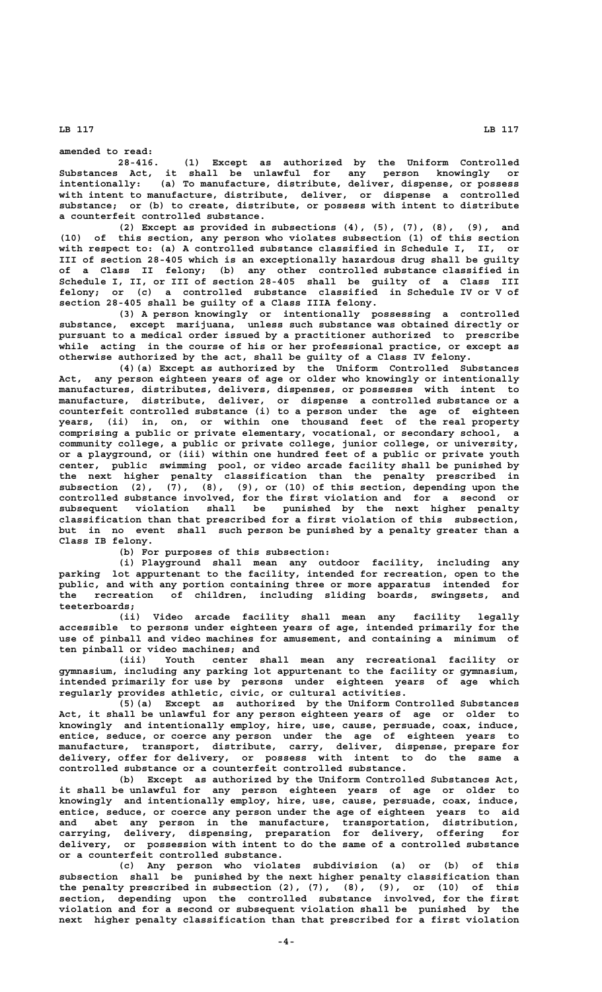**amended to read:**

**28-416. (1) Except as authorized by the Uniform Controlled Substances Act, it shall be unlawful for any person knowingly or intentionally: (a) To manufacture, distribute, deliver, dispense, or possess with intent to manufacture, distribute, deliver, or dispense a controlled substance; or (b) to create, distribute, or possess with intent to distribute a counterfeit controlled substance.**

**(2) Except as provided in subsections (4), (5), (7), (8), (9), and (10) of this section, any person who violates subsection (1) of this section with respect to: (a) A controlled substance classified in Schedule I, II, or III of section 28-405 which is an exceptionally hazardous drug shall be guilty of a Class II felony; (b) any other controlled substance classified in Schedule I, II, or III of section 28-405 shall be guilty of a Class III felony; or (c) a controlled substance classified in Schedule IV or V of section 28-405 shall be guilty of a Class IIIA felony.**

**(3) A person knowingly or intentionally possessing a controlled substance, except marijuana, unless such substance was obtained directly or pursuant to a medical order issued by a practitioner authorized to prescribe while acting in the course of his or her professional practice, or except as otherwise authorized by the act, shall be guilty of a Class IV felony.**

**(4)(a) Except as authorized by the Uniform Controlled Substances Act, any person eighteen years of age or older who knowingly or intentionally manufactures, distributes, delivers, dispenses, or possesses with intent to manufacture, distribute, deliver, or dispense a controlled substance or a counterfeit controlled substance (i) to a person under the age of eighteen years, (ii) in, on, or within one thousand feet of the real property comprising a public or private elementary, vocational, or secondary school, a community college, a public or private college, junior college, or university, or a playground, or (iii) within one hundred feet of a public or private youth center, public swimming pool, or video arcade facility shall be punished by the next higher penalty classification than the penalty prescribed in subsection (2), (7), (8), (9), or (10) of this section, depending upon the controlled substance involved, for the first violation and for a second or subsequent violation shall be punished by the next higher penalty classification than that prescribed for a first violation of this subsection, but in no event shall such person be punished by a penalty greater than a Class IB felony.**

**(b) For purposes of this subsection:**

**(i) Playground shall mean any outdoor facility, including any parking lot appurtenant to the facility, intended for recreation, open to the public, and with any portion containing three or more apparatus intended for the recreation of children, including sliding boards, swingsets, and teeterboards;**

**(ii) Video arcade facility shall mean any facility legally accessible to persons under eighteen years of age, intended primarily for the use of pinball and video machines for amusement, and containing a minimum of ten pinball or video machines; and**

**(iii) Youth center shall mean any recreational facility or gymnasium, including any parking lot appurtenant to the facility or gymnasium, intended primarily for use by persons under eighteen years of age which regularly provides athletic, civic, or cultural activities.**

**(5)(a) Except as authorized by the Uniform Controlled Substances Act, it shall be unlawful for any person eighteen years of age or older to knowingly and intentionally employ, hire, use, cause, persuade, coax, induce, entice, seduce, or coerce any person under the age of eighteen years to manufacture, transport, distribute, carry, deliver, dispense, prepare for delivery, offer for delivery, or possess with intent to do the same a controlled substance or a counterfeit controlled substance.**

**(b) Except as authorized by the Uniform Controlled Substances Act, it shall be unlawful for any person eighteen years of age or older to knowingly and intentionally employ, hire, use, cause, persuade, coax, induce, entice, seduce, or coerce any person under the age of eighteen years to aid and abet any person in the manufacture, transportation, distribution, carrying, delivery, dispensing, preparation for delivery, offering for delivery, or possession with intent to do the same of a controlled substance or a counterfeit controlled substance.**

**(c) Any person who violates subdivision (a) or (b) of this subsection shall be punished by the next higher penalty classification than the penalty prescribed in subsection (2), (7), (8), (9), or (10) of this section, depending upon the controlled substance involved, for the first violation and for a second or subsequent violation shall be punished by the next higher penalty classification than that prescribed for a first violation**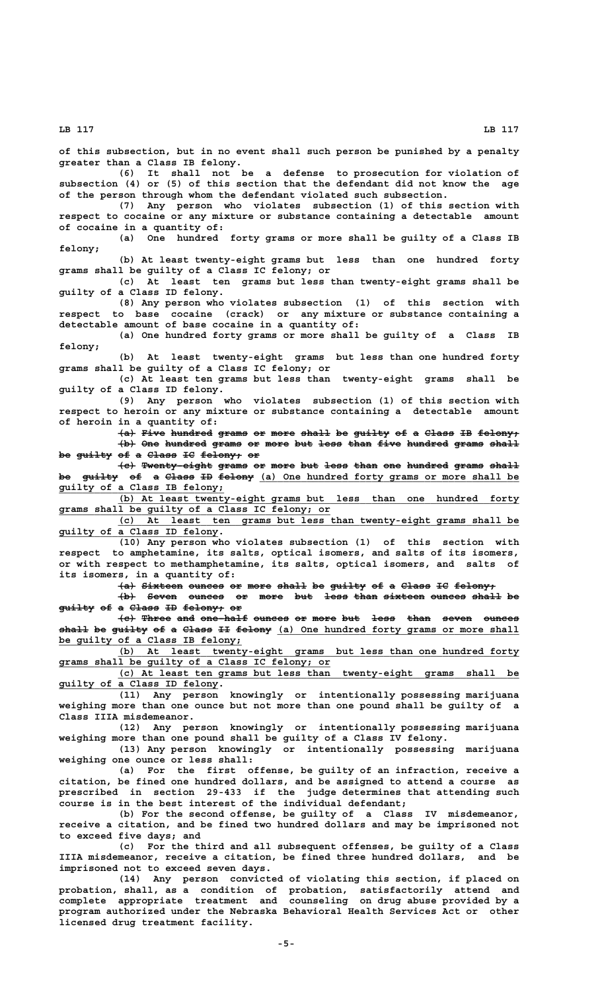**of this subsection, but in no event shall such person be punished by a penalty greater than a Class IB felony. (6) It shall not be a defense to prosecution for violation of subsection (4) or (5) of this section that the defendant did not know the age of the person through whom the defendant violated such subsection. (7) Any person who violates subsection (1) of this section with respect to cocaine or any mixture or substance containing a detectable amount of cocaine in a quantity of: (a) One hundred forty grams or more shall be guilty of a Class IB felony; (b) At least twenty-eight grams but less than one hundred forty grams shall be guilty of a Class IC felony; or (c) At least ten grams but less than twenty-eight grams shall be guilty of a Class ID felony. (8) Any person who violates subsection (1) of this section with respect to base cocaine (crack) or any mixture or substance containing a detectable amount of base cocaine in a quantity of: (a) One hundred forty grams or more shall be guilty of a Class IB felony; (b) At least twenty-eight grams but less than one hundred forty grams shall be guilty of a Class IC felony; or (c) At least ten grams but less than twenty-eight grams shall be guilty of a Class ID felony. (9) Any person who violates subsection (1) of this section with respect to heroin or any mixture or substance containing a detectable amount of heroin in a quantity of: (a) Five hundred grams or more shall be guilty of a Class IB felony; ——— ———— ——————— ————— —— ———— ————— —— —————— —— — ————— —— ———————**  $\left\{\text{b}\right\}$  One hundred grams or more but less than five hundred grams shall be guilty of a Class IC felony; or **(c) Twenty-eight grams or more but less than one hundred grams shall ——— ———————————— ————— —— ———— ——— ———— ———— ——— ——————— ————— —————** <del>be guilty of a Class ID felony</del> (a) One hundred forty grams or more shall be  **\_\_\_\_\_\_\_\_\_\_\_\_\_\_\_\_\_\_\_\_\_\_\_\_\_\_\_\_ guilty of a Class IB felony; \_\_\_\_\_\_\_\_\_\_\_\_\_\_\_\_\_\_\_\_\_\_\_\_\_\_\_\_\_\_\_\_\_\_\_\_\_\_\_\_\_\_\_\_\_\_\_\_\_\_\_\_\_\_\_\_\_\_\_\_\_\_\_\_\_\_\_\_ (b) At least twenty-eight grams but less than one hundred forty \_\_\_\_\_\_\_\_\_\_\_\_\_\_\_\_\_\_\_\_\_\_\_\_\_\_\_\_\_\_\_\_\_\_\_\_\_\_\_\_\_\_\_\_\_\_ grams shall be guilty of a Class IC felony; or \_\_\_\_\_\_\_\_\_\_\_\_\_\_\_\_\_\_\_\_\_\_\_\_\_\_\_\_\_\_\_\_\_\_\_\_\_\_\_\_\_\_\_\_\_\_\_\_\_\_\_\_\_\_\_\_\_\_\_\_\_\_\_\_\_\_\_\_ (c) At least ten grams but less than twenty-eight grams shall be \_\_\_\_\_\_\_\_\_\_\_\_\_\_\_\_\_\_\_\_\_\_\_\_\_\_\_ guilty of a Class ID felony. (10) Any person who violates subsection (1) of this section with respect to amphetamine, its salts, optical isomers, and salts of its isomers, or with respect to methamphetamine, its salts, optical isomers, and salts of its isomers, in a quantity of:**  $\{a\}$  Sixteen ounces or more shall be guilty of a Class IC felony;  $\overline{a}$  +b) Seven ounces or more but less than sixteen ounces shall be guilty of a Class ID felony; or **(c) Three and one-half ounces or more but less than seven ounces ——— ————— ——— ———————— —————— —— ———— ——— ———— ———— ————— —————** shall be guilty of a Class II felony (a) One hundred forty grams or more shall  **\_\_\_\_\_\_\_\_\_\_\_\_\_\_\_\_\_\_\_\_\_\_\_\_\_\_\_\_\_\_\_ be guilty of a Class IB felony; \_\_\_\_\_\_\_\_\_\_\_\_\_\_\_\_\_\_\_\_\_\_\_\_\_\_\_\_\_\_\_\_\_\_\_\_\_\_\_\_\_\_\_\_\_\_\_\_\_\_\_\_\_\_\_\_\_\_\_\_\_\_\_\_\_\_\_\_ (b) At least twenty-eight grams but less than one hundred forty \_\_\_\_\_\_\_\_\_\_\_\_\_\_\_\_\_\_\_\_\_\_\_\_\_\_\_\_\_\_\_\_\_\_\_\_\_\_\_\_\_\_\_\_\_\_ grams shall be guilty of a Class IC felony; or \_\_\_\_\_\_\_\_\_\_\_\_\_\_\_\_\_\_\_\_\_\_\_\_\_\_\_\_\_\_\_\_\_\_\_\_\_\_\_\_\_\_\_\_\_\_\_\_\_\_\_\_\_\_\_\_\_\_\_\_\_\_\_\_\_\_\_\_ (c) At least ten grams but less than twenty-eight grams shall be \_\_\_\_\_\_\_\_\_\_\_\_\_\_\_\_\_\_\_\_\_\_\_\_\_\_\_ guilty of a Class ID felony. (11) Any person knowingly or intentionally possessing marijuana weighing more than one ounce but not more than one pound shall be guilty of a Class IIIA misdemeanor. (12) Any person knowingly or intentionally possessing marijuana weighing more than one pound shall be guilty of a Class IV felony. (13) Any person knowingly or intentionally possessing marijuana weighing one ounce or less shall: (a) For the first offense, be guilty of an infraction, receive a citation, be fined one hundred dollars, and be assigned to attend a course as prescribed in section 29-433 if the judge determines that attending such course is in the best interest of the individual defendant; (b) For the second offense, be guilty of a Class IV misdemeanor, receive a citation, and be fined two hundred dollars and may be imprisoned not to exceed five days; and (c) For the third and all subsequent offenses, be guilty of a Class IIIA misdemeanor, receive a citation, be fined three hundred dollars, and be imprisoned not to exceed seven days. (14) Any person convicted of violating this section, if placed on probation, shall, as a condition of probation, satisfactorily attend and**

**complete appropriate treatment and counseling on drug abuse provided by a program authorized under the Nebraska Behavioral Health Services Act or other licensed drug treatment facility.**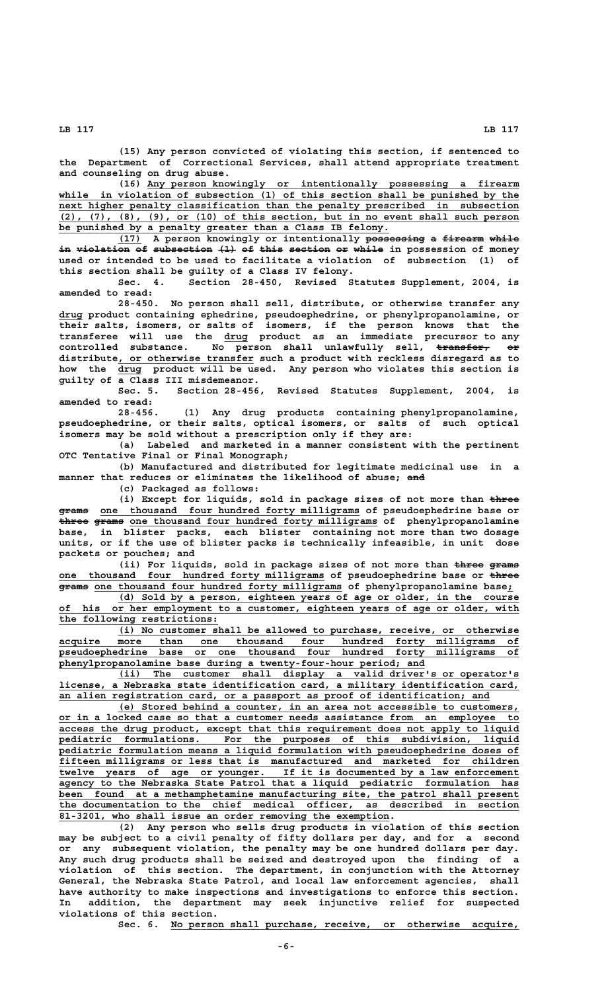**(15) Any person convicted of violating this section, if sentenced to the Department of Correctional Services, shall attend appropriate treatment and counseling on drug abuse.**

 **\_\_\_\_\_\_\_\_\_\_\_\_\_\_\_\_\_\_\_\_\_\_\_\_\_\_\_\_\_\_\_\_\_\_\_\_\_\_\_\_\_\_\_\_\_\_\_\_\_\_\_\_\_\_\_\_\_\_\_\_\_\_\_ (16) Any person knowingly or intentionally possessing a firearm** while in violation of subsection (1) of this section shall be punished by the  $next$  higher penalty classification than the penalty prescribed in subsection  **\_\_\_\_\_\_\_\_\_\_\_\_\_\_\_\_\_\_\_\_\_\_\_\_\_\_\_\_\_\_\_\_\_\_\_\_\_\_\_\_\_\_\_\_\_\_\_\_\_\_\_\_\_\_\_\_\_\_\_\_\_\_\_\_\_\_\_\_\_\_\_\_\_\_\_\_\_\_ (2), (7), (8), (9), or (10) of this section, but in no event shall such person \_\_\_\_\_\_\_\_\_\_\_\_\_\_\_\_\_\_\_\_\_\_\_\_\_\_\_\_\_\_\_\_\_\_\_\_\_\_\_\_\_\_\_\_\_\_\_\_\_\_\_\_\_\_\_\_ be punished by a penalty greater than a Class IB felony.**

**(17) A person knowingly or intentionally possessing a firearm while \_\_\_\_ —————————— — ——————— ————** in violation of subsection (1) of this section or while in possession of money **used or intended to be used to facilitate a violation of subsection (1) of this section shall be guilty of a Class IV felony.**

**Sec. 4. Section 28-450, Revised Statutes Supplement, 2004, is amended to read:**

**28-450. No person shall sell, distribute, or otherwise transfer any \_\_\_\_ drug product containing ephedrine, pseudoephedrine, or phenylpropanolamine, or their salts, isomers, or salts of isomers, if the person knows that the \_\_\_\_ transferee will use the drug product as an immediate precursor to any controlled substance. No person shall unlawfully sell, transfer, or ————————— —— \_\_\_\_\_\_\_\_\_\_\_\_\_\_\_\_\_\_\_\_\_\_\_ distribute, or otherwise transfer such a product with reckless disregard as to** how the drug product will be used. Any person who violates this section is **guilty of a Class III misdemeanor.**

**Sec. 5. Section 28-456, Revised Statutes Supplement, 2004, is amended to read:**

**28-456. (1) Any drug products containing phenylpropanolamine, pseudoephedrine, or their salts, optical isomers, or salts of such optical isomers may be sold without a prescription only if they are:**

**(a) Labeled and marketed in a manner consistent with the pertinent OTC Tentative Final or Final Monograph;**

**(b) Manufactured and distributed for legitimate medicinal use in a** manner that reduces or eliminates the likelihood of abuse; and

**(c) Packaged as follows:**

(i) Except for liquids, sold in package sizes of not more than  $t$ hree  $\frac{1}{2}$  and  $\frac{1}{2}$  one thousand four hundred forty milligrams of pseudoephedrine base or three grams one thousand four hundred forty milligrams of phenylpropanolamine **base, in blister packs, each blister containing not more than two dosage units, or if the use of blister packs is technically infeasible, in unit dose packets or pouches; and**

(ii) For liquids, sold in package sizes of not more than  $\frac{1}{2}$   $\frac{1}{2}$ one thousand four hundred forty milligrams of pseudoephedrine base or three  $\frac{1}{2}$  and  $\frac{1}{2}$  one thousand four hundred forty milligrams of phenylpropanolamine base;

 **\_\_\_\_\_\_\_\_\_\_\_\_\_\_\_\_\_\_\_\_\_\_\_\_\_\_\_\_\_\_\_\_\_\_\_\_\_\_\_\_\_\_\_\_\_\_\_\_\_\_\_\_\_\_\_\_\_\_\_\_\_\_\_\_\_\_\_\_ (d) Sold by a person, eighteen years of age or older, in the course \_\_\_\_\_\_\_\_\_\_\_\_\_\_\_\_\_\_\_\_\_\_\_\_\_\_\_\_\_\_\_\_\_\_\_\_\_\_\_\_\_\_\_\_\_\_\_\_\_\_\_\_\_\_\_\_\_\_\_\_\_\_\_\_\_\_\_\_\_\_\_\_\_\_\_\_\_\_ of his or her employment to a customer, eighteen years of age or older, with \_\_\_\_\_\_\_\_\_\_\_\_\_\_\_\_\_\_\_\_\_\_\_\_\_\_\_ the following restrictions:**

 **\_\_\_\_\_\_\_\_\_\_\_\_\_\_\_\_\_\_\_\_\_\_\_\_\_\_\_\_\_\_\_\_\_\_\_\_\_\_\_\_\_\_\_\_\_\_\_\_\_\_\_\_\_\_\_\_\_\_\_\_\_\_\_\_\_\_\_\_ (i) No customer shall be allowed to purchase, receive, or otherwise \_\_\_\_\_\_\_\_\_\_\_\_\_\_\_\_\_\_\_\_\_\_\_\_\_\_\_\_\_\_\_\_\_\_\_\_\_\_\_\_\_\_\_\_\_\_\_\_\_\_\_\_\_\_\_\_\_\_\_\_\_\_\_\_\_\_\_\_\_\_\_\_\_\_\_\_\_\_ acquire more than one thousand four hundred forty milligrams of \_\_\_\_\_\_\_\_\_\_\_\_\_\_\_\_\_\_\_\_\_\_\_\_\_\_\_\_\_\_\_\_\_\_\_\_\_\_\_\_\_\_\_\_\_\_\_\_\_\_\_\_\_\_\_\_\_\_\_\_\_\_\_\_\_\_\_\_\_\_\_\_\_\_\_\_\_\_ pseudoephedrine base or one thousand four hundred forty milligrams of \_\_\_\_\_\_\_\_\_\_\_\_\_\_\_\_\_\_\_\_\_\_\_\_\_\_\_\_\_\_\_\_\_\_\_\_\_\_\_\_\_\_\_\_\_\_\_\_\_\_\_\_\_\_\_\_\_\_\_\_\_\_ phenylpropanolamine base during a twenty-four-hour period; and**

 **\_\_\_\_\_\_\_\_\_\_\_\_\_\_\_\_\_\_\_\_\_\_\_\_\_\_\_\_\_\_\_\_\_\_\_\_\_\_\_\_\_\_\_\_\_\_\_\_\_\_\_\_\_\_\_\_\_\_\_\_\_\_\_\_\_\_\_\_ (ii) The customer shall display a valid driver's or operator's \_\_\_\_\_\_\_\_\_\_\_\_\_\_\_\_\_\_\_\_\_\_\_\_\_\_\_\_\_\_\_\_\_\_\_\_\_\_\_\_\_\_\_\_\_\_\_\_\_\_\_\_\_\_\_\_\_\_\_\_\_\_\_\_\_\_\_\_\_\_\_\_\_\_\_\_\_\_ license, a Nebraska state identification card, a military identification card, \_\_\_\_\_\_\_\_\_\_\_\_\_\_\_\_\_\_\_\_\_\_\_\_\_\_\_\_\_\_\_\_\_\_\_\_\_\_\_\_\_\_\_\_\_\_\_\_\_\_\_\_\_\_\_\_\_\_\_\_\_\_\_\_\_\_\_\_\_\_\_\_\_ an alien registration card, or a passport as proof of identification; and**

 **\_\_\_\_\_\_\_\_\_\_\_\_\_\_\_\_\_\_\_\_\_\_\_\_\_\_\_\_\_\_\_\_\_\_\_\_\_\_\_\_\_\_\_\_\_\_\_\_\_\_\_\_\_\_\_\_\_\_\_\_\_\_\_\_\_\_\_\_ (e) Stored behind a counter, in an area not accessible to customers, \_\_\_\_\_\_\_\_\_\_\_\_\_\_\_\_\_\_\_\_\_\_\_\_\_\_\_\_\_\_\_\_\_\_\_\_\_\_\_\_\_\_\_\_\_\_\_\_\_\_\_\_\_\_\_\_\_\_\_\_\_\_\_\_\_\_\_\_\_\_\_\_\_\_\_\_\_\_ or in a locked case so that a customer needs assistance from an employee to \_\_\_\_\_\_\_\_\_\_\_\_\_\_\_\_\_\_\_\_\_\_\_\_\_\_\_\_\_\_\_\_\_\_\_\_\_\_\_\_\_\_\_\_\_\_\_\_\_\_\_\_\_\_\_\_\_\_\_\_\_\_\_\_\_\_\_\_\_\_\_\_\_\_\_\_\_\_ access the drug product, except that this requirement does not apply to liquid \_\_\_\_\_\_\_\_\_\_\_\_\_\_\_\_\_\_\_\_\_\_\_\_\_\_\_\_\_\_\_\_\_\_\_\_\_\_\_\_\_\_\_\_\_\_\_\_\_\_\_\_\_\_\_\_\_\_\_\_\_\_\_\_\_\_\_\_\_\_\_\_\_\_\_\_\_\_ pediatric formulations. For the purposes of this subdivision, liquid \_\_\_\_\_\_\_\_\_\_\_\_\_\_\_\_\_\_\_\_\_\_\_\_\_\_\_\_\_\_\_\_\_\_\_\_\_\_\_\_\_\_\_\_\_\_\_\_\_\_\_\_\_\_\_\_\_\_\_\_\_\_\_\_\_\_\_\_\_\_\_\_\_\_\_\_\_\_ pediatric formulation means a liquid formulation with pseudoephedrine doses of \_\_\_\_\_\_\_\_\_\_\_\_\_\_\_\_\_\_\_\_\_\_\_\_\_\_\_\_\_\_\_\_\_\_\_\_\_\_\_\_\_\_\_\_\_\_\_\_\_\_\_\_\_\_\_\_\_\_\_\_\_\_\_\_\_\_\_\_\_\_\_\_\_\_\_\_\_\_ fifteen milligrams or less that is manufactured and marketed for children \_\_\_\_\_\_\_\_\_\_\_\_\_\_\_\_\_\_\_\_\_\_\_\_\_\_\_\_\_\_\_\_\_\_\_\_\_\_\_\_\_\_\_\_\_\_\_\_\_\_\_\_\_\_\_\_\_\_\_\_\_\_\_\_\_\_\_\_\_\_\_\_\_\_\_\_\_\_ twelve years of age or younger. If it is documented by a law enforcement \_\_\_\_\_\_\_\_\_\_\_\_\_\_\_\_\_\_\_\_\_\_\_\_\_\_\_\_\_\_\_\_\_\_\_\_\_\_\_\_\_\_\_\_\_\_\_\_\_\_\_\_\_\_\_\_\_\_\_\_\_\_\_\_\_\_\_\_\_\_\_\_\_\_\_\_\_\_ agency to the Nebraska State Patrol that a liquid pediatric formulation has \_\_\_\_\_\_\_\_\_\_\_\_\_\_\_\_\_\_\_\_\_\_\_\_\_\_\_\_\_\_\_\_\_\_\_\_\_\_\_\_\_\_\_\_\_\_\_\_\_\_\_\_\_\_\_\_\_\_\_\_\_\_\_\_\_\_\_\_\_\_\_\_\_\_\_\_\_\_ been found at a methamphetamine manufacturing site, the patrol shall present \_\_\_\_\_\_\_\_\_\_\_\_\_\_\_\_\_\_\_\_\_\_\_\_\_\_\_\_\_\_\_\_\_\_\_\_\_\_\_\_\_\_\_\_\_\_\_\_\_\_\_\_\_\_\_\_\_\_\_\_\_\_\_\_\_\_\_\_\_\_\_\_\_\_\_\_\_\_ the documentation to the chief medical officer, as described in section \_\_\_\_\_\_\_\_\_\_\_\_\_\_\_\_\_\_\_\_\_\_\_\_\_\_\_\_\_\_\_\_\_\_\_\_\_\_\_\_\_\_\_\_\_\_\_\_\_\_\_\_\_\_\_\_ 81-3201, who shall issue an order removing the exemption.**

**(2) Any person who sells drug products in violation of this section may be subject to a civil penalty of fifty dollars per day, and for a second or any subsequent violation, the penalty may be one hundred dollars per day. Any such drug products shall be seized and destroyed upon the finding of a violation of this section. The department, in conjunction with the Attorney General, the Nebraska State Patrol, and local law enforcement agencies, shall have authority to make inspections and investigations to enforce this section. In addition, the department may seek injunctive relief for suspected violations of this section.**

 **\_\_\_\_\_\_\_\_\_\_\_\_\_\_\_\_\_\_\_\_\_\_\_\_\_\_\_\_\_\_\_\_\_\_\_\_\_\_\_\_\_\_\_\_\_\_\_\_\_\_\_\_\_\_\_\_\_\_\_ Sec. 6. No person shall purchase, receive, or otherwise acquire,**